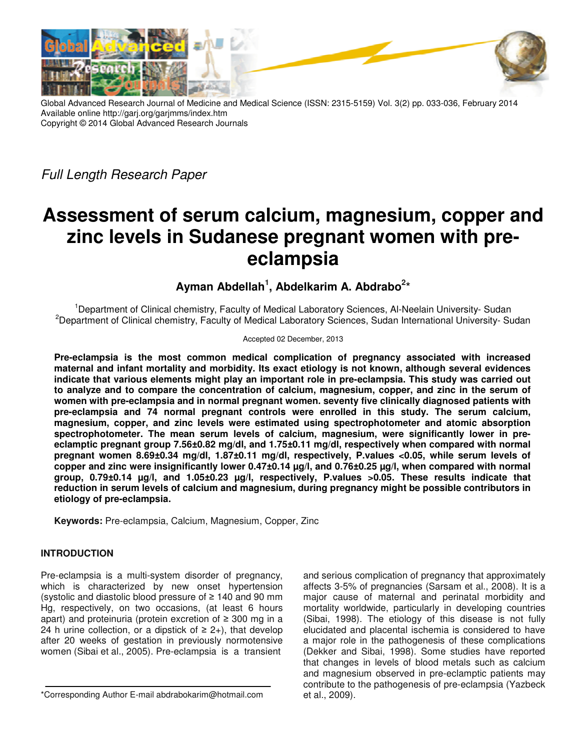

Global Advanced Research Journal of Medicine and Medical Science (ISSN: 2315-5159) Vol. 3(2) pp. 033-036, February 2014 Available online http://garj.org/garjmms/index.htm Copyright © 2014 Global Advanced Research Journals

Full Length Research Paper

# **Assessment of serum calcium, magnesium, copper and zinc levels in Sudanese pregnant women with preeclampsia**

**Ayman Abdellah<sup>1</sup> , Abdelkarim A. Abdrabo<sup>2</sup> \***

<sup>1</sup>Department of Clinical chemistry, Faculty of Medical Laboratory Sciences, Al-Neelain University- Sudan <sup>2</sup>Department of Clinical chemistry, Faculty of Medical Laboratory Sciences, Sudan International University- Sudan

#### Accepted 02 December, 2013

**Pre-eclampsia is the most common medical complication of pregnancy associated with increased maternal and infant mortality and morbidity. Its exact etiology is not known, although several evidences indicate that various elements might play an important role in pre-eclampsia. This study was carried out to analyze and to compare the concentration of calcium, magnesium, copper, and zinc in the serum of women with pre-eclampsia and in normal pregnant women. seventy five clinically diagnosed patients with pre-eclampsia and 74 normal pregnant controls were enrolled in this study. The serum calcium, magnesium, copper, and zinc levels were estimated using spectrophotometer and atomic absorption spectrophotometer. The mean serum levels of calcium, magnesium, were significantly lower in preeclamptic pregnant group 7.56±0.82 mg/dl, and 1.75±0.11 mg/dl, respectively when compared with normal pregnant women 8.69±0.34 mg/dl, 1.87±0.11 mg/dl, respectively, P.values <0.05, while serum levels of copper and zinc were insignificantly lower 0.47±0.14 µg/l, and 0.76±0.25 µg/l, when compared with normal group, 0.79±0.14 µg/l, and 1.05±0.23 µg/l, respectively, P.values >0.05. These results indicate that reduction in serum levels of calcium and magnesium, during pregnancy might be possible contributors in etiology of pre-eclampsia.** 

**Keywords:** Pre-eclampsia, Calcium, Magnesium, Copper, Zinc

### **INTRODUCTION**

Pre-eclampsia is a multi-system disorder of pregnancy, which is characterized by new onset hypertension (systolic and diastolic blood pressure of ≥ 140 and 90 mm Hg, respectively, on two occasions, (at least 6 hours apart) and proteinuria (protein excretion of ≥ 300 mg in a 24 h urine collection, or a dipstick of  $\geq 2+$ ), that develop after 20 weeks of gestation in previously normotensive women (Sibai et al., 2005). Pre-eclampsia is a transient

and serious complication of pregnancy that approximately affects 3-5% of pregnancies (Sarsam et al., 2008). It is a major cause of maternal and perinatal morbidity and mortality worldwide, particularly in developing countries (Sibai, 1998). The etiology of this disease is not fully elucidated and placental ischemia is considered to have a major role in the pathogenesis of these complications (Dekker and Sibai, 1998). Some studies have reported that changes in levels of blood metals such as calcium and magnesium observed in pre-eclamptic patients may contribute to the pathogenesis of pre-eclampsia (Yazbeck et al., 2009).

<sup>\*</sup>Corresponding Author E-mail abdrabokarim@hotmail.com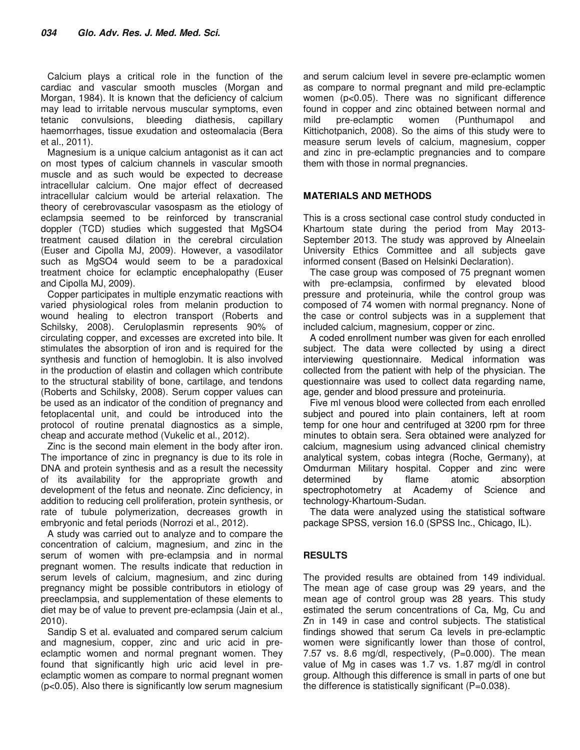Calcium plays a critical role in the function of the cardiac and vascular smooth muscles (Morgan and Morgan, 1984). It is known that the deficiency of calcium may lead to irritable nervous muscular symptoms, even tetanic convulsions, bleeding diathesis, capillary haemorrhages, tissue exudation and osteomalacia (Bera et al., 2011).

Magnesium is a unique calcium antagonist as it can act on most types of calcium channels in vascular smooth muscle and as such would be expected to decrease intracellular calcium. One major effect of decreased intracellular calcium would be arterial relaxation. The theory of cerebrovascular vasospasm as the etiology of eclampsia seemed to be reinforced by transcranial doppler (TCD) studies which suggested that MgSO4 treatment caused dilation in the cerebral circulation (Euser and Cipolla MJ, 2009). However, a vasodilator such as MgSO4 would seem to be a paradoxical treatment choice for eclamptic encephalopathy (Euser and Cipolla MJ, 2009).

Copper participates in multiple enzymatic reactions with varied physiological roles from melanin production to wound healing to electron transport (Roberts and Schilsky, 2008). Ceruloplasmin represents 90% of circulating copper, and excesses are excreted into bile. It stimulates the absorption of iron and is required for the synthesis and function of hemoglobin. It is also involved in the production of elastin and collagen which contribute to the structural stability of bone, cartilage, and tendons (Roberts and Schilsky, 2008). Serum copper values can be used as an indicator of the condition of pregnancy and fetoplacental unit, and could be introduced into the protocol of routine prenatal diagnostics as a simple, cheap and accurate method (Vukelic et al., 2012).

Zinc is the second main element in the body after iron. The importance of zinc in pregnancy is due to its role in DNA and protein synthesis and as a result the necessity of its availability for the appropriate growth and development of the fetus and neonate. Zinc deficiency, in addition to reducing cell proliferation, protein synthesis, or rate of tubule polymerization, decreases growth in embryonic and fetal periods (Norrozi et al., 2012).

A study was carried out to analyze and to compare the concentration of calcium, magnesium, and zinc in the serum of women with pre-eclampsia and in normal pregnant women. The results indicate that reduction in serum levels of calcium, magnesium, and zinc during pregnancy might be possible contributors in etiology of preeclampsia, and supplementation of these elements to diet may be of value to prevent pre-eclampsia (Jain et al., 2010).

Sandip S et al. evaluated and compared serum calcium and magnesium, copper, zinc and uric acid in preeclamptic women and normal pregnant women. They found that significantly high uric acid level in preeclamptic women as compare to normal pregnant women (p<0.05). Also there is significantly low serum magnesium

and serum calcium level in severe pre-eclamptic women as compare to normal pregnant and mild pre-eclamptic women (p<0.05). There was no significant difference found in copper and zinc obtained between normal and mild pre-eclamptic women (Punthumapol and Kittichotpanich, 2008). So the aims of this study were to measure serum levels of calcium, magnesium, copper and zinc in pre-eclamptic pregnancies and to compare them with those in normal pregnancies.

#### **MATERIALS AND METHODS**

This is a cross sectional case control study conducted in Khartoum state during the period from May 2013- September 2013. The study was approved by Alneelain University Ethics Committee and all subjects gave informed consent (Based on Helsinki Declaration).

The case group was composed of 75 pregnant women with pre-eclampsia, confirmed by elevated blood pressure and proteinuria, while the control group was composed of 74 women with normal pregnancy. None of the case or control subjects was in a supplement that included calcium, magnesium, copper or zinc.

A coded enrollment number was given for each enrolled subject. The data were collected by using a direct interviewing questionnaire. Medical information was collected from the patient with help of the physician. The questionnaire was used to collect data regarding name, age, gender and blood pressure and proteinuria.

Five ml venous blood were collected from each enrolled subject and poured into plain containers, left at room temp for one hour and centrifuged at 3200 rpm for three minutes to obtain sera. Sera obtained were analyzed for calcium, magnesium using advanced clinical chemistry analytical system, cobas integra (Roche, Germany), at Omdurman Military hospital. Copper and zinc were determined by flame atomic absorption spectrophotometry at Academy of Science and technology-Khartoum-Sudan.

The data were analyzed using the statistical software package SPSS, version 16.0 (SPSS Inc., Chicago, IL).

### **RESULTS**

The provided results are obtained from 149 individual. The mean age of case group was 29 years, and the mean age of control group was 28 years. This study estimated the serum concentrations of Ca, Mg, Cu and Zn in 149 in case and control subjects. The statistical findings showed that serum Ca levels in pre-eclamptic women were significantly lower than those of control, 7.57 vs. 8.6 mg/dl, respectively, (P=0.000). The mean value of Mg in cases was 1.7 vs. 1.87 mg/dl in control group. Although this difference is small in parts of one but the difference is statistically significant (P=0.038).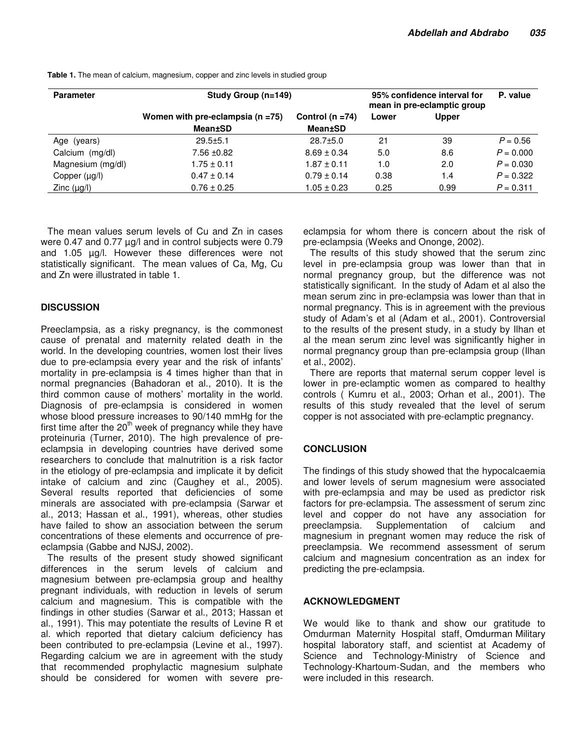| <b>Parameter</b>  | Study Group (n=149)                                     |                                        | 95% confidence interval for<br>mean in pre-eclamptic group |              | P. value    |
|-------------------|---------------------------------------------------------|----------------------------------------|------------------------------------------------------------|--------------|-------------|
|                   | Women with pre-eclampsia ( $n = 75$ )<br><b>Mean±SD</b> | Control ( $n = 74$ )<br><b>Mean±SD</b> | Lower                                                      | <b>Upper</b> |             |
| Age (years)       | $29.5 \pm 5.1$                                          | $28.7 \pm 5.0$                         | 21                                                         | 39           | $P = 0.56$  |
| Calcium (mg/dl)   | $7.56 \pm 0.82$                                         | $8.69 \pm 0.34$                        | 5.0                                                        | 8.6          | $P = 0.000$ |
| Magnesium (mg/dl) | $1.75 \pm 0.11$                                         | $1.87 \pm 0.11$                        | 1.0                                                        | 2.0          | $P = 0.030$ |
| Copper (µg/l)     | $0.47 \pm 0.14$                                         | $0.79 \pm 0.14$                        | 0.38                                                       | 1.4          | $P = 0.322$ |
| Zinc $(\mu g/l)$  | $0.76 \pm 0.25$                                         | $1.05 \pm 0.23$                        | 0.25                                                       | 0.99         | $P = 0.311$ |

**Table 1.** The mean of calcium, magnesium, copper and zinc levels in studied group

The mean values serum levels of Cu and Zn in cases were 0.47 and 0.77 µg/l and in control subjects were 0.79 and 1.05 µg/l. However these differences were not statistically significant. The mean values of Ca, Mg, Cu and Zn were illustrated in table 1.

## **DISCUSSION**

Preeclampsia, as a risky pregnancy, is the commonest cause of prenatal and maternity related death in the world. In the developing countries, women lost their lives due to pre-eclampsia every year and the risk of infants' mortality in pre-eclampsia is 4 times higher than that in normal pregnancies (Bahadoran et al., 2010). It is the third common cause of mothers' mortality in the world. Diagnosis of pre-eclampsia is considered in women whose blood pressure increases to 90/140 mmHg for the first time after the  $20<sup>th</sup>$  week of pregnancy while they have proteinuria (Turner, 2010). The high prevalence of preeclampsia in developing countries have derived some researchers to conclude that malnutrition is a risk factor in the etiology of pre-eclampsia and implicate it by deficit intake of calcium and zinc (Caughey et al., 2005). Several results reported that deficiencies of some minerals are associated with pre-eclampsia (Sarwar et al., 2013; Hassan et al., 1991), whereas, other studies have failed to show an association between the serum concentrations of these elements and occurrence of preeclampsia (Gabbe and NJSJ, 2002).

The results of the present study showed significant differences in the serum levels of calcium and magnesium between pre-eclampsia group and healthy pregnant individuals, with reduction in levels of serum calcium and magnesium. This is compatible with the findings in other studies (Sarwar et al., 2013; Hassan et al., 1991). This may potentiate the results of Levine R et al. which reported that dietary calcium deficiency has been contributed to pre-eclampsia (Levine et al., 1997). Regarding calcium we are in agreement with the study that recommended prophylactic magnesium sulphate should be considered for women with severe preeclampsia for whom there is concern about the risk of pre-eclampsia (Weeks and Ononge, 2002).

The results of this study showed that the serum zinc level in pre-eclampsia group was lower than that in normal pregnancy group, but the difference was not statistically significant. In the study of Adam et al also the mean serum zinc in pre-eclampsia was lower than that in normal pregnancy. This is in agreement with the previous study of Adam's et al (Adam et al., 2001). Controversial to the results of the present study, in a study by Ilhan et al the mean serum zinc level was significantly higher in normal pregnancy group than pre-eclampsia group (Ilhan et al., 2002).

There are reports that maternal serum copper level is lower in pre-eclamptic women as compared to healthy controls ( Kumru et al., 2003; Orhan et al., 2001). The results of this study revealed that the level of serum copper is not associated with pre-eclamptic pregnancy.

### **CONCLUSION**

The findings of this study showed that the hypocalcaemia and lower levels of serum magnesium were associated with pre-eclampsia and may be used as predictor risk factors for pre-eclampsia. The assessment of serum zinc level and copper do not have any association for preeclampsia. Supplementation of calcium and magnesium in pregnant women may reduce the risk of preeclampsia. We recommend assessment of serum calcium and magnesium concentration as an index for predicting the pre-eclampsia.

### **ACKNOWLEDGMENT**

We would like to thank and show our gratitude to Omdurman Maternity Hospital staff, Omdurman Military hospital laboratory staff, and scientist at Academy of Science and Technology-Ministry of Science and Technology-Khartoum-Sudan, and the members who were included in this research.